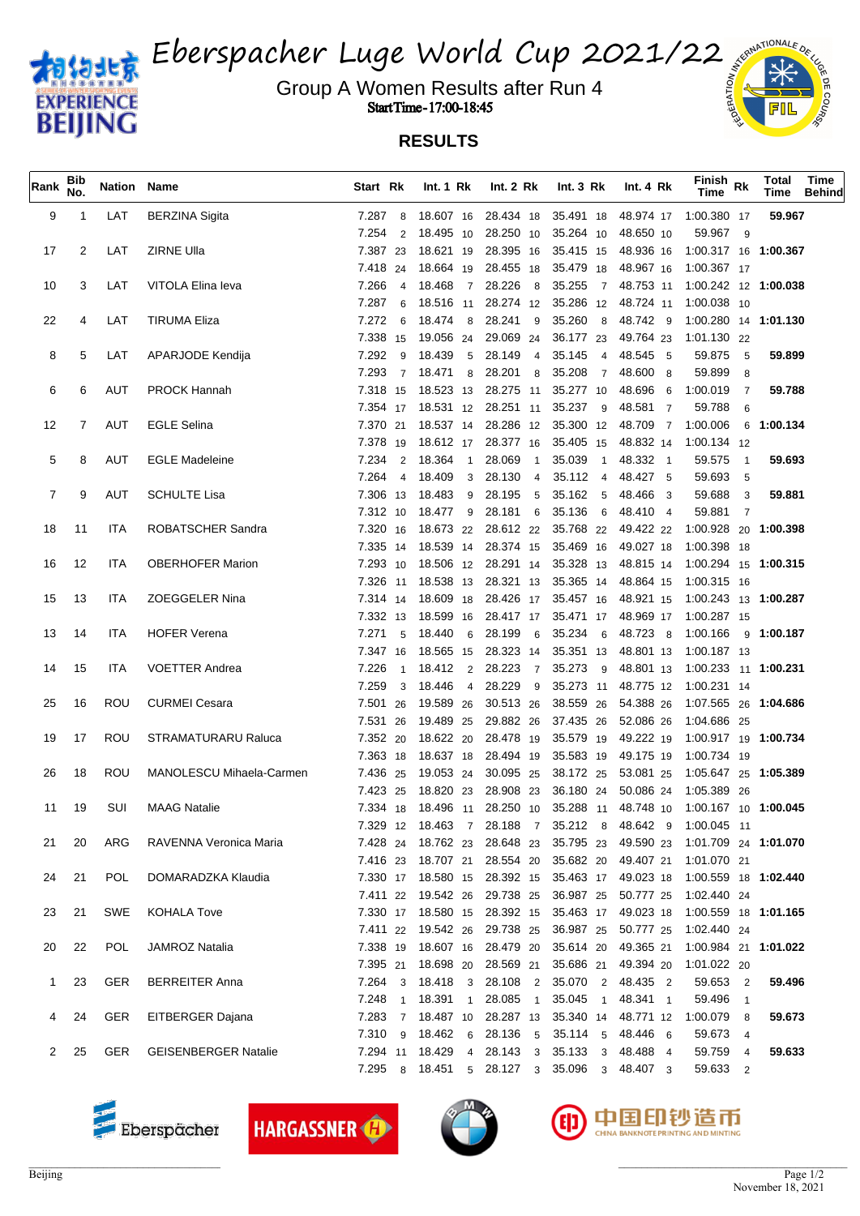

Eberspacher Luge World Cup 2021/22

Group A Women Results after Run 4  $\frac{2}{3}$ Start Time - 17:00-18:45



| Rank | Bib<br>No.     | Nation Name |                             | Start Rk                | Int. $1 \,$ Rk                      | Int. $2 \, Rk$                                           | Int. $3 \, Rk$                | Int. 4 Rk | Finish Rk<br>Time                                                     | <b>Total</b><br>Time | Time<br><b>Behind</b> |
|------|----------------|-------------|-----------------------------|-------------------------|-------------------------------------|----------------------------------------------------------|-------------------------------|-----------|-----------------------------------------------------------------------|----------------------|-----------------------|
| 9    | -1             | LAT         | <b>BERZINA Sigita</b>       | 7.287                   | 8 18.607 16                         |                                                          |                               |           | 28.434 18 35.491 18 48.974 17 1:00.380 17                             | 59.967               |                       |
|      |                |             |                             | 7.254<br>2              | 18.495 10                           |                                                          | 28.250 10 35.264 10           | 48.650 10 | 59.967 9                                                              |                      |                       |
| 17   | 2              | LAT         | ZIRNE Ulla                  | 7.387 23                | 18.621 19                           |                                                          |                               |           | 28.395 16 35.415 15 48.936 16 1:00.317 16 1:00.367                    |                      |                       |
|      |                |             |                             |                         | 7.418 24 18.664 19                  |                                                          | 28.455 18 35.479 18 48.967 16 |           | 1:00.367 17                                                           |                      |                       |
| 10   | 3              | LAT         | VITOLA Elina leva           | 7.266                   | 4 18.468 7                          |                                                          |                               |           | 28.226 8 35.255 7 48.753 11 1:00.242 12 1:00.038                      |                      |                       |
|      |                |             |                             | 7.287<br>6              | 18.516 11                           |                                                          |                               |           | 28.274 12 35.286 12 48.724 11 1:00.038 10                             |                      |                       |
| 22   | 4              | LAT         | <b>TIRUMA Eliza</b>         | 7.272<br>6              | 18.474 8                            |                                                          | 28.241 9 35.260 8 48.742 9    |           | 1:00.280  14 <b>1:01.130</b>                                          |                      |                       |
|      |                |             |                             |                         |                                     | 7.338 15 19.056 24 29.069 24 36.177 23 49.764 23         |                               |           | 1:01.130 22                                                           |                      |                       |
| 8    | 5              | LAT         | APARJODE Kendija            | 7.292<br>9              | 18.439 5                            | 28.149                                                   | 4 35.145 4 48.545 5           |           | 59.875<br>$-5$                                                        | 59.899               |                       |
|      |                |             |                             | 7.293                   | 7 18.471<br>8                       | 28.201                                                   | 8 35.208 7 48.600 8           |           | 59.899 8                                                              |                      |                       |
| 6    | 6              | AUT         | <b>PROCK Hannah</b>         |                         | 7.318 15 18.523 13                  |                                                          | 28.275 11 35.277 10 48.696 6  |           | 1:00.019 7                                                            | 59.788               |                       |
|      |                |             |                             |                         |                                     | 7.354 17 18.531 12 28.251 11 35.237 9                    |                               | 48.581 7  | 59.788<br>- 6                                                         |                      |                       |
| 12   | $\overline{7}$ | AUT         | <b>EGLE Selina</b>          |                         |                                     | 7.370 21 18.537 14 28.286 12 35.300 12 48.709 7 1:00.006 |                               |           |                                                                       | 6 1:00.134           |                       |
|      |                |             |                             | 7.378 19                | 18.612 17                           |                                                          | 28.377 16 35.405 15 48.832 14 |           | 1:00.134 12                                                           |                      |                       |
| 5    | 8              | AUT         | <b>EGLE Madeleine</b>       | 7.234                   | 2 18.364 1                          | 28.069<br>$\overline{1}$                                 | 35.039<br>$\overline{1}$      | 48.332 1  | 59.575<br>$\overline{\phantom{0}}$                                    | 59.693               |                       |
|      |                |             |                             | 7.264                   | 4 18.409<br>$\overline{\mathbf{3}}$ | 28.130<br>$\overline{4}$                                 | 35.112 4                      | 48.427 5  | 59.693 5                                                              |                      |                       |
| 7    | 9              | AUT         | <b>SCHULTE Lisa</b>         | 7.306 13 18.483         | 9                                   | 28.195                                                   | 5 35.162 5                    | 48.466 3  | 59.688<br>$\overline{\mathbf{3}}$                                     | 59.881               |                       |
|      |                |             |                             |                         | 7.312 10 18.477 9                   |                                                          | 28.181 6 35.136 6             | 48.410 4  | 59.881 7                                                              |                      |                       |
| 18   | 11             | ITA         | ROBATSCHER Sandra           | 7.320 16                | 18.673 22                           | 7.335 14 18.539 14 28.374 15 35.469 16 49.027 18         | 28.612 22 35.768 22 49.422 22 |           | 1:00.928 20 1:00.398                                                  |                      |                       |
| 16   | 12             | <b>ITA</b>  | <b>OBERHOFER Marion</b>     | 7.293 10                | 18.506 12                           |                                                          | 28.291 14 35.328 13 48.815 14 |           | 1:00.398 18<br>1:00.294 15 1:00.315                                   |                      |                       |
|      |                |             |                             |                         | 7.326 11 18.538 13                  |                                                          | 28.321 13 35.365 14 48.864 15 |           | 1:00.315 16                                                           |                      |                       |
| 15   | 13             | ITA         | <b>ZOEGGELER Nina</b>       |                         | 7.314 14 18.609 18                  |                                                          | 28.426 17 35.457 16 48.921 15 |           |                                                                       |                      |                       |
|      |                |             |                             | 7.332 13                | 18.599 16                           |                                                          | 28.417 17 35.471 17 48.969 17 |           | 1:00.287 15                                                           |                      |                       |
| 13   | 14             | <b>ITA</b>  | <b>HOFER Verena</b>         | 7.271<br>5              | 18.440<br>6                         |                                                          | 28.199 6 35.234 6 48.723 8    |           | 1:00.166   9 <b>1:00.187</b>                                          |                      |                       |
|      |                |             |                             | 7.347 16                | 18.565 15                           |                                                          | 28.323 14 35.351 13 48.801 13 |           | 1:00.187 13                                                           |                      |                       |
| 14   | 15             | <b>ITA</b>  | <b>VOETTER Andrea</b>       | 7.226<br>$\overline{1}$ | 18.412 2                            | 28.223                                                   | 7 35.273 9                    | 48.801 13 |                                                                       |                      |                       |
|      |                |             |                             | 7.259<br>$\mathbf{3}$   | 18.446 4                            |                                                          |                               |           | 28.229 9 35.273 11 48.775 12 1:00.231 14                              |                      |                       |
| 25   | 16             | <b>ROU</b>  | <b>CURMEI Cesara</b>        | 7.501 26                | 19.589 26                           |                                                          | 30.513 26 38.559 26 54.388 26 |           | 1:07.565 26 1:04.686                                                  |                      |                       |
|      |                |             |                             | 7.531 26                | 19.489 25                           |                                                          | 29.882 26 37.435 26           | 52.086 26 | 1:04.686 25                                                           |                      |                       |
| 19   | 17             | ROU         | <b>STRAMATURARU Raluca</b>  | 7.352 20                | 18.622 20                           |                                                          | 28.478 19 35.579 19           | 49.222 19 | 1:00.917 19 <b>1:00.734</b>                                           |                      |                       |
|      |                |             |                             | 7.363 18                | 18.637 18                           |                                                          | 28.494 19 35.583 19           |           | 49.175 19  1:00.734  19                                               |                      |                       |
| 26   | 18             | <b>ROU</b>  | MANOLESCU Mihaela-Carmen    | 7.436 25                | 19.053 24                           |                                                          | 30.095 25 38.172 25 53.081 25 |           | 1:05.647 25 1:05.389                                                  |                      |                       |
|      |                |             |                             | 7.423 25                | 18.820 23                           |                                                          | 28.908 23 36.180 24 50.086 24 |           | 1:05.389 26                                                           |                      |                       |
| 11   | 19             | SUI         | <b>MAAG Natalie</b>         |                         |                                     |                                                          |                               |           | 7.334 18 18.496 11 28.250 10 35.288 11 48.748 10 1:00.167 10 1:00.045 |                      |                       |
|      |                |             |                             |                         |                                     |                                                          |                               |           | 7.329 12 18.463 7 28.188 7 35.212 8 48.642 9 1:00.045 11              |                      |                       |
| 21   | 20             | ARG         | RAVENNA Veronica Maria      |                         |                                     |                                                          |                               |           | 7.428 24 18.762 23 28.648 23 35.795 23 49.590 23 1:01.709 24 1:01.070 |                      |                       |
|      |                |             |                             |                         |                                     |                                                          |                               |           | 7.416 23 18.707 21 28.554 20 35.682 20 49.407 21 1:01.070 21          |                      |                       |
| 24   | 21             | POL         | DOMARADZKA Klaudia          |                         |                                     |                                                          |                               |           | 7.330 17 18.580 15 28.392 15 35.463 17 49.023 18 1:00.559 18 1:02.440 |                      |                       |
|      |                |             |                             |                         |                                     |                                                          |                               |           | 7.411 22 19.542 26 29.738 25 36.987 25 50.777 25 1:02.440 24          |                      |                       |
| 23   | 21             | SWE         | <b>KOHALA Tove</b>          |                         |                                     |                                                          |                               |           | 7.330 17 18.580 15 28.392 15 35.463 17 49.023 18 1:00.559 18 1:01.165 |                      |                       |
|      |                |             |                             |                         |                                     |                                                          |                               |           | 7.411 22 19.542 26 29.738 25 36.987 25 50.777 25 1:02.440 24          |                      |                       |
| 20   | 22             | POL         | JAMROZ Natalia              |                         |                                     | 7.338 19 18.607 16 28.479 20 35.614 20 49.365 21         |                               |           | 1:00.984 21 1:01.022                                                  |                      |                       |
|      |                |             |                             |                         |                                     | 7.395 21 18.698 20 28.569 21 35.686 21 49.394 20         |                               |           | 1:01.022 20                                                           |                      |                       |
| 1    | 23             | GER         | <b>BERREITER Anna</b>       |                         |                                     | 7.264 3 18.418 3 28.108 2 35.070 2 48.435 2              |                               |           | 59.653 2                                                              | 59.496               |                       |
|      |                |             |                             |                         |                                     | 7.248 1 18.391 1 28.085 1 35.045 1 48.341 1              |                               |           | 59.496 1                                                              |                      |                       |
| 4    | 24             | GER         | EITBERGER Dajana            |                         |                                     | 7.283 7 18.487 10 28.287 13 35.340 14 48.771 12          |                               |           | 1:00.079 8                                                            | 59.673               |                       |
|      |                |             |                             |                         |                                     | 7.310 9 18.462 6 28.136 5 35.114 5 48.446 6              |                               |           | 59.673 4                                                              |                      |                       |
| 2    | 25             | GER         | <b>GEISENBERGER Natalie</b> |                         |                                     | 7.294 11 18.429 4 28.143 3 35.133 3 48.488 4             |                               |           | 59.759 4                                                              | 59.633               |                       |
|      |                |             |                             |                         |                                     | 7.295 8 18.451 5 28.127 3 35.096 3 48.407 3              |                               |           | 59.633 2                                                              |                      |                       |